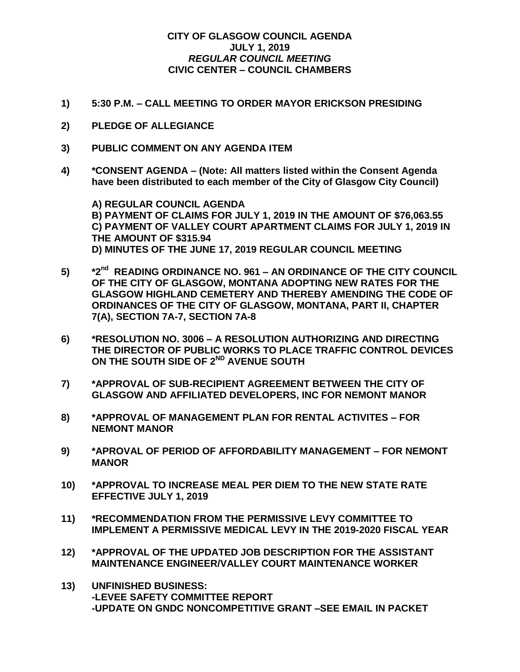## **CITY OF GLASGOW COUNCIL AGENDA JULY 1, 2019** *REGULAR COUNCIL MEETING* **CIVIC CENTER – COUNCIL CHAMBERS**

- **1) 5:30 P.M. – CALL MEETING TO ORDER MAYOR ERICKSON PRESIDING**
- **2) PLEDGE OF ALLEGIANCE**
- **3) PUBLIC COMMENT ON ANY AGENDA ITEM**
- **4) \*CONSENT AGENDA – (Note: All matters listed within the Consent Agenda have been distributed to each member of the City of Glasgow City Council)**

**A) REGULAR COUNCIL AGENDA B) PAYMENT OF CLAIMS FOR JULY 1, 2019 IN THE AMOUNT OF \$76,063.55 C) PAYMENT OF VALLEY COURT APARTMENT CLAIMS FOR JULY 1, 2019 IN THE AMOUNT OF \$315.94 D) MINUTES OF THE JUNE 17, 2019 REGULAR COUNCIL MEETING**

- **5) \*2nd READING ORDINANCE NO. 961 – AN ORDINANCE OF THE CITY COUNCIL OF THE CITY OF GLASGOW, MONTANA ADOPTING NEW RATES FOR THE GLASGOW HIGHLAND CEMETERY AND THEREBY AMENDING THE CODE OF ORDINANCES OF THE CITY OF GLASGOW, MONTANA, PART II, CHAPTER 7(A), SECTION 7A-7, SECTION 7A-8**
- **6) \*RESOLUTION NO. 3006 – A RESOLUTION AUTHORIZING AND DIRECTING THE DIRECTOR OF PUBLIC WORKS TO PLACE TRAFFIC CONTROL DEVICES ON THE SOUTH SIDE OF 2ND AVENUE SOUTH**
- **7) \*APPROVAL OF SUB-RECIPIENT AGREEMENT BETWEEN THE CITY OF GLASGOW AND AFFILIATED DEVELOPERS, INC FOR NEMONT MANOR**
- **8) \*APPROVAL OF MANAGEMENT PLAN FOR RENTAL ACTIVITES – FOR NEMONT MANOR**
- **9) \*APROVAL OF PERIOD OF AFFORDABILITY MANAGEMENT – FOR NEMONT MANOR**
- **10) \*APPROVAL TO INCREASE MEAL PER DIEM TO THE NEW STATE RATE EFFECTIVE JULY 1, 2019**
- **11) \*RECOMMENDATION FROM THE PERMISSIVE LEVY COMMITTEE TO IMPLEMENT A PERMISSIVE MEDICAL LEVY IN THE 2019-2020 FISCAL YEAR**
- **12) \*APPROVAL OF THE UPDATED JOB DESCRIPTION FOR THE ASSISTANT MAINTENANCE ENGINEER/VALLEY COURT MAINTENANCE WORKER**
- **13) UNFINISHED BUSINESS: -LEVEE SAFETY COMMITTEE REPORT -UPDATE ON GNDC NONCOMPETITIVE GRANT –SEE EMAIL IN PACKET**